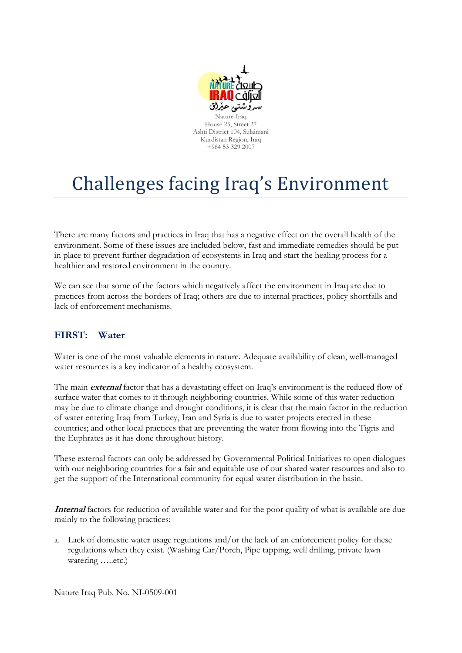

# Challenges facing Iraq's Environment

There are many factors and practices in Iraq that has a negative effect on the overall health of the environment. Some of these issues are included below, fast and immediate remedies should be put in place to prevent further degradation of ecosystems in Iraq and start the healing process for a healthier and restored environment in the country.

We can see that some of the factors which negatively affect the environment in Iraq are due to practices from across the borders of Iraq; others are due to internal practices, policy shortfalls and lack of enforcement mechanisms.

## **FIRST: Water**

Water is one of the most valuable elements in nature. Adequate availability of clean, well-managed water resources is a key indicator of a healthy ecosystem.

The main **external** factor that has a devastating effect on Iraq's environment is the reduced flow of surface water that comes to it through neighboring countries. While some of this water reduction may be due to climate change and drought conditions, it is clear that the main factor in the reduction of water entering Iraq from Turkey, Iran and Syria is due to water projects erected in these countries; and other local practices that are preventing the water from flowing into the Tigris and the Euphrates as it has done throughout history.

These external factors can only be addressed by Governmental Political Initiatives to open dialogues with our neighboring countries for a fair and equitable use of our shared water resources and also to get the support of the International community for equal water distribution in the basin.

**Internal** factors for reduction of available water and for the poor quality of what is available are due mainly to the following practices:

a. Lack of domestic water usage regulations and/or the lack of an enforcement policy for these regulations when they exist. (Washing Car/Porch, Pipe tapping, well drilling, private lawn watering …..etc.)

Nature Iraq Pub. No. NI-0509-001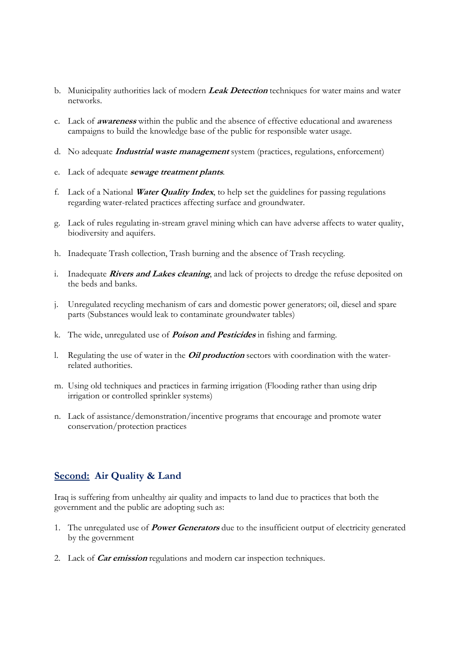- b. Municipality authorities lack of modern **Leak Detection** techniques for water mains and water networks.
- c. Lack of **awareness** within the public and the absence of effective educational and awareness campaigns to build the knowledge base of the public for responsible water usage.
- d. No adequate **Industrial waste management** system (practices, regulations, enforcement)
- e. Lack of adequate **sewage treatment plants**.
- f. Lack of a National **Water Quality Index**, to help set the guidelines for passing regulations regarding water-related practices affecting surface and groundwater.
- g. Lack of rules regulating in-stream gravel mining which can have adverse affects to water quality, biodiversity and aquifers.
- h. Inadequate Trash collection, Trash burning and the absence of Trash recycling.
- i. Inadequate **Rivers and Lakes cleaning**, and lack of projects to dredge the refuse deposited on the beds and banks.
- j. Unregulated recycling mechanism of cars and domestic power generators; oil, diesel and spare parts (Substances would leak to contaminate groundwater tables)
- k. The wide, unregulated use of **Poison and Pesticides** in fishing and farming.
- l. Regulating the use of water in the **Oil production** sectors with coordination with the waterrelated authorities.
- m. Using old techniques and practices in farming irrigation (Flooding rather than using drip irrigation or controlled sprinkler systems)
- n. Lack of assistance/demonstration/incentive programs that encourage and promote water conservation/protection practices

### **Second: Air Quality & Land**

Iraq is suffering from unhealthy air quality and impacts to land due to practices that both the government and the public are adopting such as:

- 1. The unregulated use of **Power Generators** due to the insufficient output of electricity generated by the government
- 2. Lack of **Car emission** regulations and modern car inspection techniques.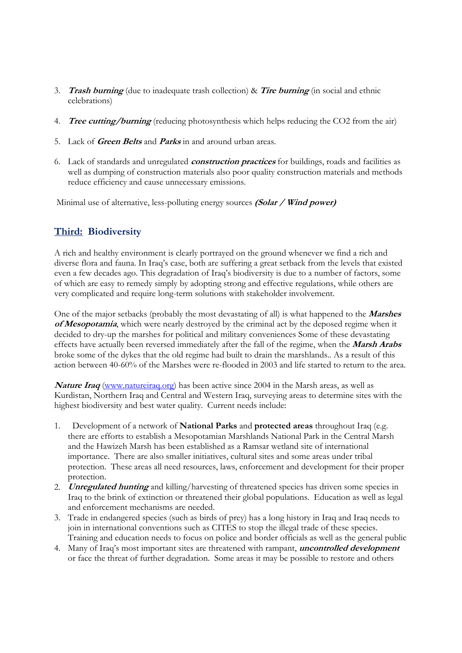- 3. **Trash burning** (due to inadequate trash collection) & **Tire burning** (in social and ethnic celebrations)
- 4. **Tree cutting/burning** (reducing photosynthesis which helps reducing the CO2 from the air)
- 5. Lack of **Green Belts** and **Parks** in and around urban areas.
- 6. Lack of standards and unregulated **construction practices** for buildings, roads and facilities as well as dumping of construction materials also poor quality construction materials and methods reduce efficiency and cause unnecessary emissions.

Minimal use of alternative, less-polluting energy sources **(Solar / Wind power)**

## **Third: Biodiversity**

A rich and healthy environment is clearly portrayed on the ground whenever we find a rich and diverse flora and fauna. In Iraq's case, both are suffering a great setback from the levels that existed even a few decades ago. This degradation of Iraq's biodiversity is due to a number of factors, some of which are easy to remedy simply by adopting strong and effective regulations, while others are very complicated and require long-term solutions with stakeholder involvement.

One of the major setbacks (probably the most devastating of all) is what happened to the **Marshes of Mesopotamia**, which were nearly destroyed by the criminal act by the deposed regime when it decided to dry-up the marshes for political and military conveniences Some of these devastating effects have actually been reversed immediately after the fall of the regime, when the **Marsh Arabs** broke some of the dykes that the old regime had built to drain the marshlands.. As a result of this action between 40-60% of the Marshes were re-flooded in 2003 and life started to return to the area.

**Nature Iraq** (www.natureiraq.org) has been active since 2004 in the Marsh areas, as well as Kurdistan, Northern Iraq and Central and Western Iraq, surveying areas to determine sites with the highest biodiversity and best water quality. Current needs include:

- 1. Development of a network of **National Parks** and **protected areas** throughout Iraq (e.g. there are efforts to establish a Mesopotamian Marshlands National Park in the Central Marsh and the Hawizeh Marsh has been established as a Ramsar wetland site of international importance. There are also smaller initiatives, cultural sites and some areas under tribal protection. These areas all need resources, laws, enforcement and development for their proper protection.
- 2. **Unregulated hunting** and killing/harvesting of threatened species has driven some species in Iraq to the brink of extinction or threatened their global populations. Education as well as legal and enforcement mechanisms are needed.
- 3. Trade in endangered species (such as birds of prey) has a long history in Iraq and Iraq needs to join in international conventions such as CITES to stop the illegal trade of these species. Training and education needs to focus on police and border officials as well as the general public
- 4. Many of Iraq's most important sites are threatened with rampant, **uncontrolled development** or face the threat of further degradation. Some areas it may be possible to restore and others